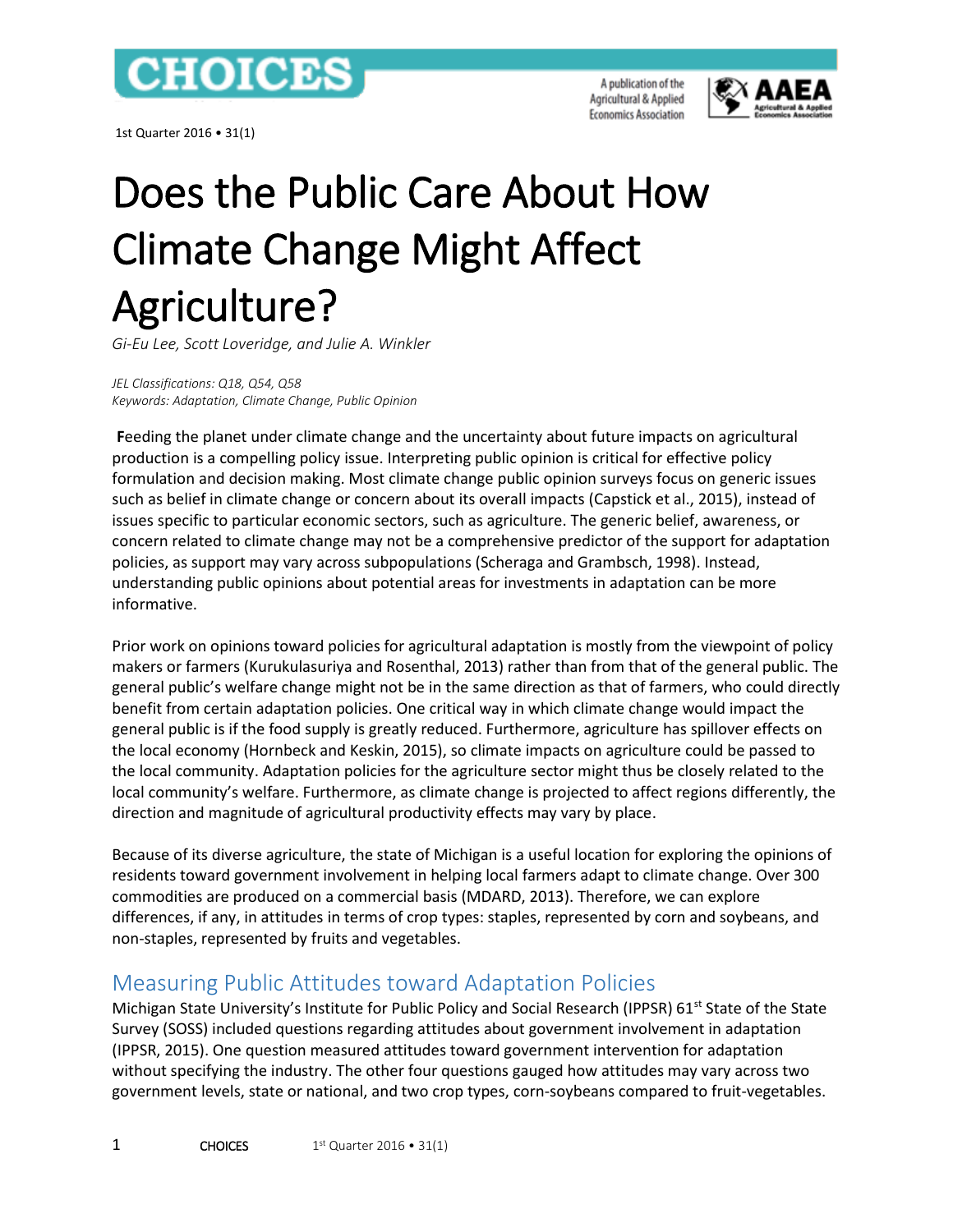

1st Quarter 2016 • 31(1)

A publication of the Agricultural & Applied **Economics Association** 



# Does the Public Care About How Climate Change Might Affect Agriculture?

*Gi-Eu Lee, Scott Loveridge, and Julie A. Winkler*

*JEL Classifications: Q18, Q54, Q58 Keywords: Adaptation, Climate Change, Public Opinion*

**F**eeding the planet under climate change and the uncertainty about future impacts on agricultural production is a compelling policy issue. Interpreting public opinion is critical for effective policy formulation and decision making. Most climate change public opinion surveys focus on generic issues such as belief in climate change or concern about its overall impacts (Capstick et al., 2015), instead of issues specific to particular economic sectors, such as agriculture. The generic belief, awareness, or concern related to climate change may not be a comprehensive predictor of the support for adaptation policies, as support may vary across subpopulations (Scheraga and Grambsch, 1998). Instead, understanding public opinions about potential areas for investments in adaptation can be more informative.

Prior work on opinions toward policies for agricultural adaptation is mostly from the viewpoint of policy makers or farmers (Kurukulasuriya and Rosenthal, 2013) rather than from that of the general public. The general public's welfare change might not be in the same direction as that of farmers, who could directly benefit from certain adaptation policies. One critical way in which climate change would impact the general public is if the food supply is greatly reduced. Furthermore, agriculture has spillover effects on the local economy (Hornbeck and Keskin, 2015), so climate impacts on agriculture could be passed to the local community. Adaptation policies for the agriculture sector might thus be closely related to the local community's welfare. Furthermore, as climate change is projected to affect regions differently, the direction and magnitude of agricultural productivity effects may vary by place.

Because of its diverse agriculture, the state of Michigan is a useful location for exploring the opinions of residents toward government involvement in helping local farmers adapt to climate change. Over 300 commodities are produced on a commercial basis (MDARD, 2013). Therefore, we can explore differences, if any, in attitudes in terms of crop types: staples, represented by corn and soybeans, and non-staples, represented by fruits and vegetables.

## Measuring Public Attitudes toward Adaptation Policies

Michigan State University's Institute for Public Policy and Social Research (IPPSR) 61<sup>st</sup> State of the State Survey (SOSS) included questions regarding attitudes about government involvement in adaptation (IPPSR, 2015). One question measured attitudes toward government intervention for adaptation without specifying the industry. The other four questions gauged how attitudes may vary across two government levels, state or national, and two crop types, corn-soybeans compared to fruit-vegetables.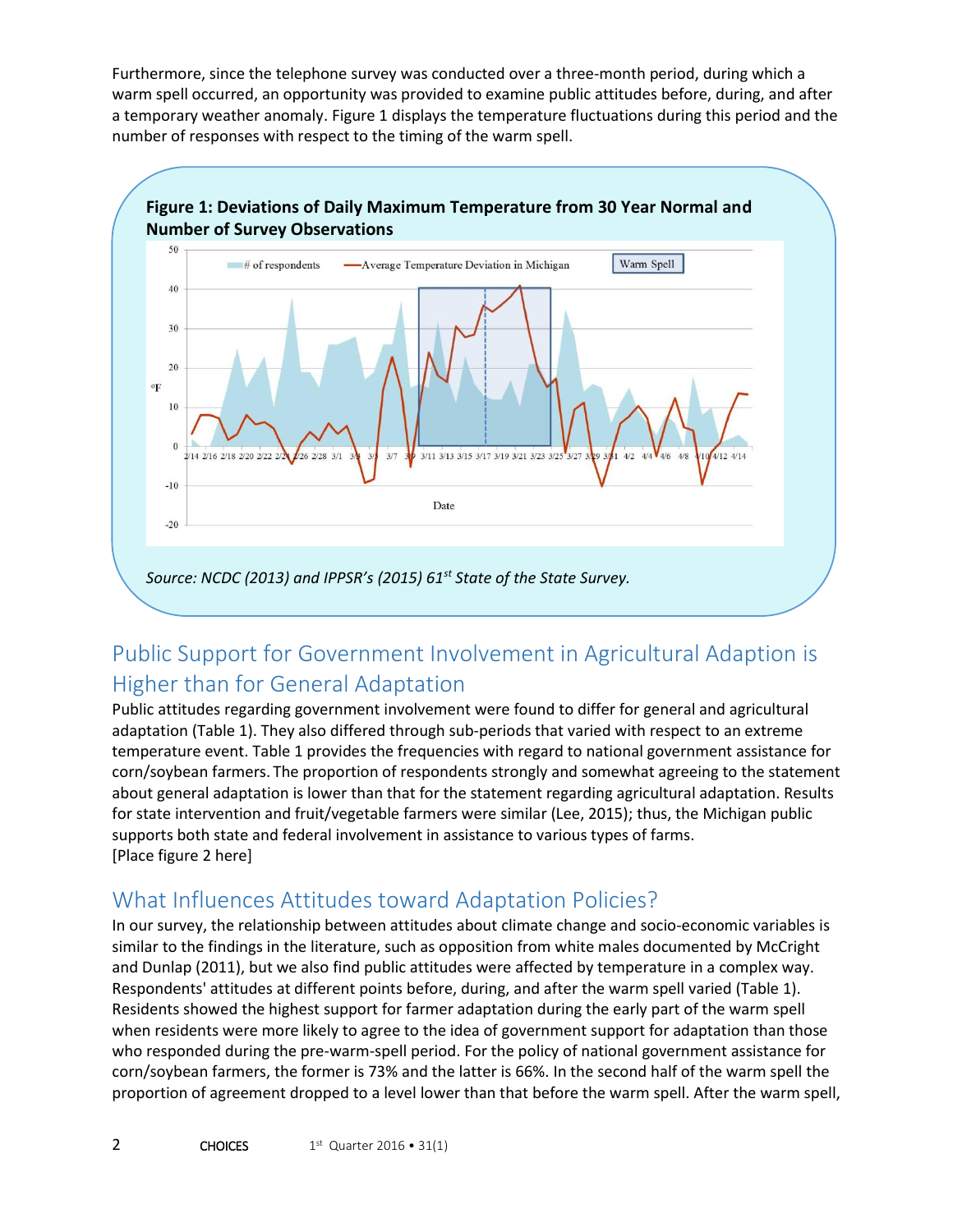Furthermore, since the telephone survey was conducted over a three-month period, during which a warm spell occurred, an opportunity was provided to examine public attitudes before, during, and after a temporary weather anomaly. Figure 1 displays the temperature fluctuations during this period and the number of responses with respect to the timing of the warm spell.



## Public Support for Government Involvement in Agricultural Adaption is Higher than for General Adaptation

Public attitudes regarding government involvement were found to differ for general and agricultural adaptation (Table 1). They also differed through sub-periods that varied with respect to an extreme temperature event. Table 1 provides the frequencies with regard to national government assistance for corn/soybean farmers. The proportion of respondents strongly and somewhat agreeing to the statement about general adaptation is lower than that for the statement regarding agricultural adaptation. Results for state intervention and fruit/vegetable farmers were similar (Lee, 2015); thus, the Michigan public supports both state and federal involvement in assistance to various types of farms. [Place figure 2 here]

## What Influences Attitudes toward Adaptation Policies?

In our survey, the relationship between attitudes about climate change and socio-economic variables is similar to the findings in the literature, such as opposition from white males documented by McCright and Dunlap (2011), but we also find public attitudes were affected by temperature in a complex way. Respondents' attitudes at different points before, during, and after the warm spell varied (Table 1). Residents showed the highest support for farmer adaptation during the early part of the warm spell when residents were more likely to agree to the idea of government support for adaptation than those who responded during the pre-warm-spell period. For the policy of national government assistance for corn/soybean farmers, the former is 73% and the latter is 66%. In the second half of the warm spell the proportion of agreement dropped to a level lower than that before the warm spell. After the warm spell,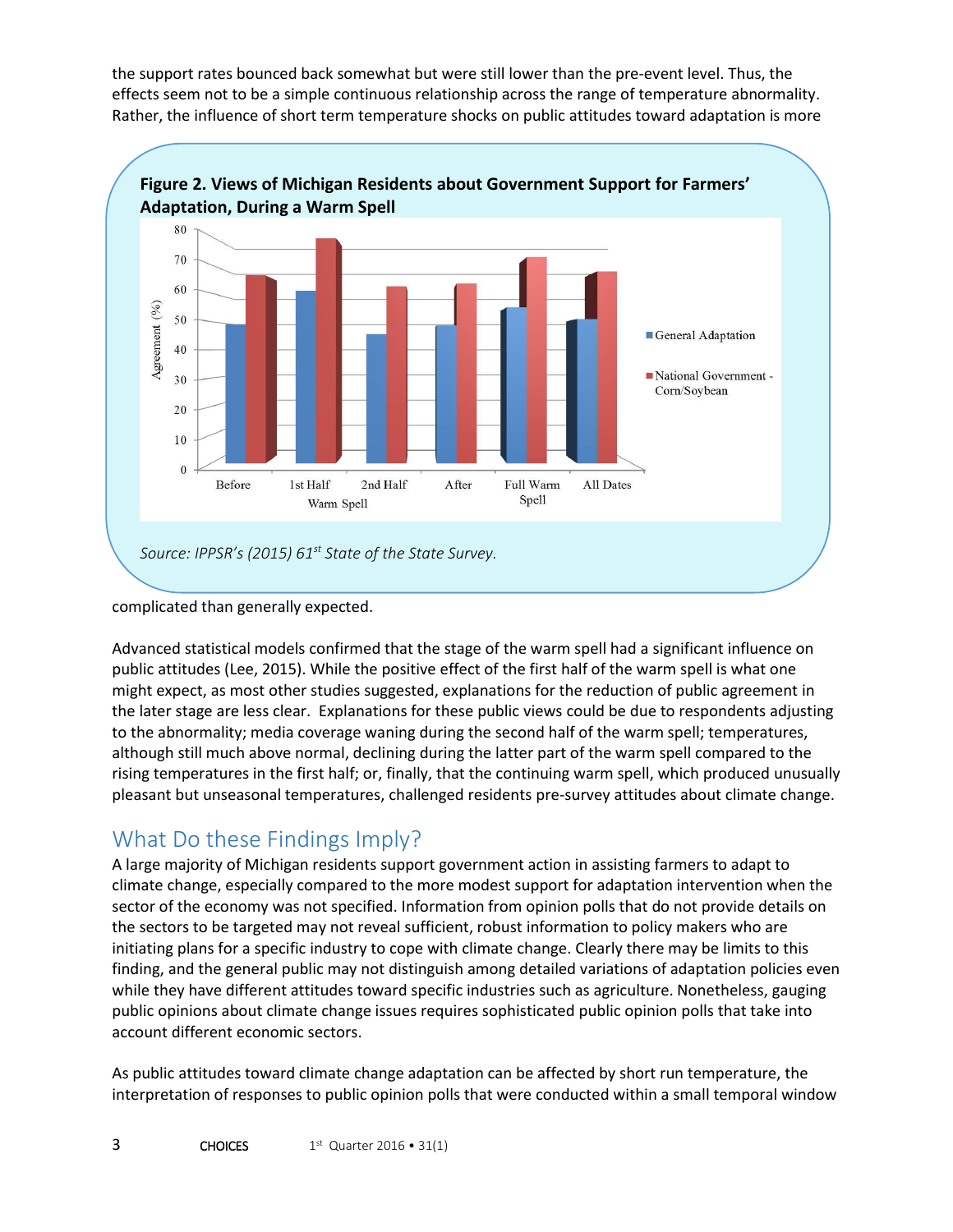the support rates bounced back somewhat but were still lower than the pre-event level. Thus, the effects seem not to be a simple continuous relationship across the range of temperature abnormality. Rather, the influence of short term temperature shocks on public attitudes toward adaptation is more



#### complicated than generally expected.

Advanced statistical models confirmed that the stage of the warm spell had a significant influence on public attitudes (Lee, 2015). While the positive effect of the first half of the warm spell is what one might expect, as most other studies suggested, explanations for the reduction of public agreement in the later stage are less clear. Explanations for these public views could be due to respondents adjusting to the abnormality; media coverage waning during the second half of the warm spell; temperatures, although still much above normal, declining during the latter part of the warm spell compared to the rising temperatures in the first half; or, finally, that the continuing warm spell, which produced unusually pleasant but unseasonal temperatures, challenged residents pre-survey attitudes about climate change.

## What Do these Findings Imply?

A large majority of Michigan residents support government action in assisting farmers to adapt to climate change, especially compared to the more modest support for adaptation intervention when the sector of the economy was not specified. Information from opinion polls that do not provide details on the sectors to be targeted may not reveal sufficient, robust information to policy makers who are initiating plans for a specific industry to cope with climate change. Clearly there may be limits to this finding, and the general public may not distinguish among detailed variations of adaptation policies even while they have different attitudes toward specific industries such as agriculture. Nonetheless, gauging public opinions about climate change issues requires sophisticated public opinion polls that take into account different economic sectors.

As public attitudes toward climate change adaptation can be affected by short run temperature, the interpretation of responses to public opinion polls that were conducted within a small temporal window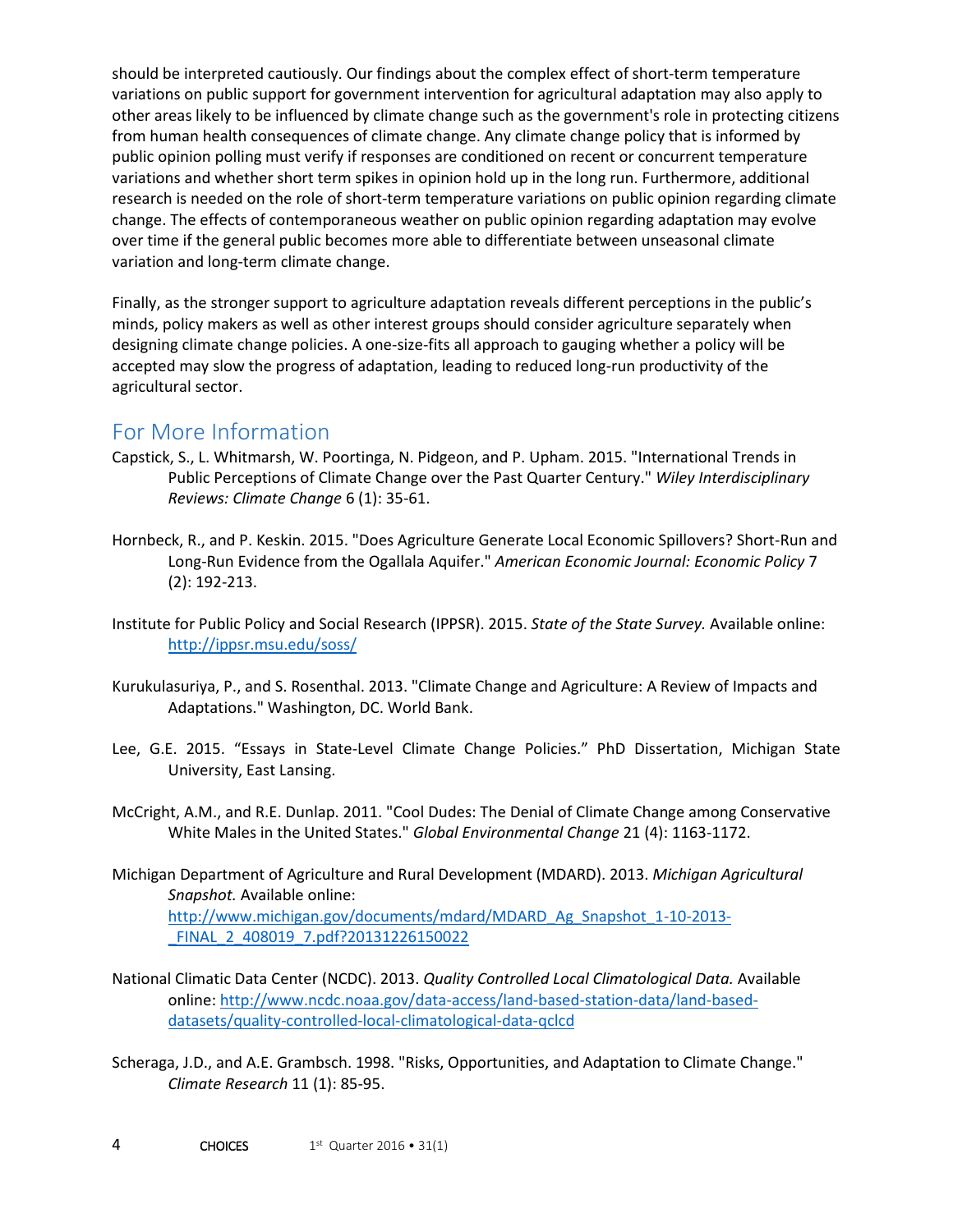should be interpreted cautiously. Our findings about the complex effect of short-term temperature variations on public support for government intervention for agricultural adaptation may also apply to other areas likely to be influenced by climate change such as the government's role in protecting citizens from human health consequences of climate change. Any climate change policy that is informed by public opinion polling must verify if responses are conditioned on recent or concurrent temperature variations and whether short term spikes in opinion hold up in the long run. Furthermore, additional research is needed on the role of short-term temperature variations on public opinion regarding climate change. The effects of contemporaneous weather on public opinion regarding adaptation may evolve over time if the general public becomes more able to differentiate between unseasonal climate variation and long-term climate change.

Finally, as the stronger support to agriculture adaptation reveals different perceptions in the public's minds, policy makers as well as other interest groups should consider agriculture separately when designing climate change policies. A one-size-fits all approach to gauging whether a policy will be accepted may slow the progress of adaptation, leading to reduced long-run productivity of the agricultural sector.

### For More Information

- Capstick, S., L. Whitmarsh, W. Poortinga, N. Pidgeon, and P. Upham. 2015. "International Trends in Public Perceptions of Climate Change over the Past Quarter Century." *Wiley Interdisciplinary Reviews: Climate Change* 6 (1): 35-61.
- Hornbeck, R., and P. Keskin. 2015. "Does Agriculture Generate Local Economic Spillovers? Short-Run and Long-Run Evidence from the Ogallala Aquifer." *American Economic Journal: Economic Policy* 7 (2): 192-213.
- Institute for Public Policy and Social Research (IPPSR). 2015. *State of the State Survey.* Available online: <http://ippsr.msu.edu/soss/>
- Kurukulasuriya, P., and S. Rosenthal. 2013. "Climate Change and Agriculture: A Review of Impacts and Adaptations." Washington, DC. World Bank.
- Lee, G.E. 2015. "Essays in State-Level Climate Change Policies." PhD Dissertation, Michigan State University, East Lansing.
- McCright, A.M., and R.E. Dunlap. 2011. "Cool Dudes: The Denial of Climate Change among Conservative White Males in the United States." *Global Environmental Change* 21 (4): 1163-1172.
- Michigan Department of Agriculture and Rural Development (MDARD). 2013. *Michigan Agricultural Snapshot.* Available online: [http://www.michigan.gov/documents/mdard/MDARD\\_Ag\\_Snapshot\\_1-10-2013-](http://www.michigan.gov/documents/mdard/MDARD_Ag_Snapshot_1-10-2013-_FINAL_2_408019_7.pdf?20131226150022) FINAL 2 408019 7.pdf?20131226150022
- National Climatic Data Center (NCDC). 2013. *Quality Controlled Local Climatological Data.* Available online: [http://www.ncdc.noaa.gov/data-access/land-based-station-data/land-based](http://www.ncdc.noaa.gov/data-access/land-based-station-data/land-based-datasets/quality-controlled-local-climatological-data-qclcd)[datasets/quality-controlled-local-climatological-data-qclcd](http://www.ncdc.noaa.gov/data-access/land-based-station-data/land-based-datasets/quality-controlled-local-climatological-data-qclcd)
- Scheraga, J.D., and A.E. Grambsch. 1998. "Risks, Opportunities, and Adaptation to Climate Change." *Climate Research* 11 (1): 85-95.